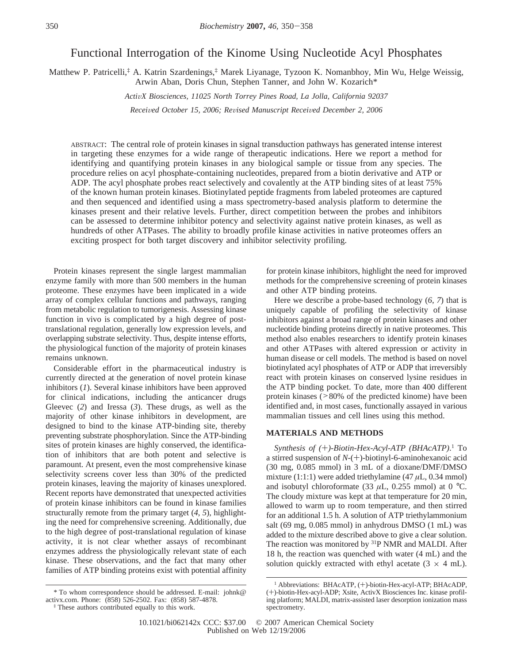# Functional Interrogation of the Kinome Using Nucleotide Acyl Phosphates

Matthew P. Patricelli,‡ A. Katrin Szardenings,‡ Marek Liyanage, Tyzoon K. Nomanbhoy, Min Wu, Helge Weissig, Arwin Aban, Doris Chun, Stephen Tanner, and John W. Kozarich\*

*Acti*V*X Biosciences, 11025 North Torrey Pines Road, La Jolla, California 92037*

*Recei*V*ed October 15, 2006; Re*V*ised Manuscript Recei*V*ed December 2, 2006*

ABSTRACT: The central role of protein kinases in signal transduction pathways has generated intense interest in targeting these enzymes for a wide range of therapeutic indications. Here we report a method for identifying and quantifying protein kinases in any biological sample or tissue from any species. The procedure relies on acyl phosphate-containing nucleotides, prepared from a biotin derivative and ATP or ADP. The acyl phosphate probes react selectively and covalently at the ATP binding sites of at least 75% of the known human protein kinases. Biotinylated peptide fragments from labeled proteomes are captured and then sequenced and identified using a mass spectrometry-based analysis platform to determine the kinases present and their relative levels. Further, direct competition between the probes and inhibitors can be assessed to determine inhibitor potency and selectivity against native protein kinases, as well as hundreds of other ATPases. The ability to broadly profile kinase activities in native proteomes offers an exciting prospect for both target discovery and inhibitor selectivity profiling.

Protein kinases represent the single largest mammalian enzyme family with more than 500 members in the human proteome. These enzymes have been implicated in a wide array of complex cellular functions and pathways, ranging from metabolic regulation to tumorigenesis. Assessing kinase function in vivo is complicated by a high degree of posttranslational regulation, generally low expression levels, and overlapping substrate selectivity. Thus, despite intense efforts, the physiological function of the majority of protein kinases remains unknown.

Considerable effort in the pharmaceutical industry is currently directed at the generation of novel protein kinase inhibitors (*1*). Several kinase inhibitors have been approved for clinical indications, including the anticancer drugs Gleevec (*2*) and Iressa (*3*). These drugs, as well as the majority of other kinase inhibitors in development, are designed to bind to the kinase ATP-binding site, thereby preventing substrate phosphorylation. Since the ATP-binding sites of protein kinases are highly conserved, the identification of inhibitors that are both potent and selective is paramount. At present, even the most comprehensive kinase selectivity screens cover less than 30% of the predicted protein kinases, leaving the majority of kinases unexplored. Recent reports have demonstrated that unexpected activities of protein kinase inhibitors can be found in kinase families structurally remote from the primary target (*4*, *5*), highlighting the need for comprehensive screening. Additionally, due to the high degree of post-translational regulation of kinase activity, it is not clear whether assays of recombinant enzymes address the physiologically relevant state of each kinase. These observations, and the fact that many other families of ATP binding proteins exist with potential affinity

for protein kinase inhibitors, highlight the need for improved methods for the comprehensive screening of protein kinases and other ATP binding proteins.

Here we describe a probe-based technology (*6*, *7*) that is uniquely capable of profiling the selectivity of kinase inhibitors against a broad range of protein kinases and other nucleotide binding proteins directly in native proteomes. This method also enables researchers to identify protein kinases and other ATPases with altered expression or activity in human disease or cell models. The method is based on novel biotinylated acyl phosphates of ATP or ADP that irreversibly react with protein kinases on conserved lysine residues in the ATP binding pocket. To date, more than 400 different protein kinases (>80% of the predicted kinome) have been identified and, in most cases, functionally assayed in various mammalian tissues and cell lines using this method.

## **MATERIALS AND METHODS**

*Synthesis of (*+*)-Biotin-Hex-Acyl-ATP (BHAcATP)*. <sup>1</sup> To a stirred suspension of *<sup>N</sup>*-(+)-biotinyl-6-aminohexanoic acid (30 mg, 0.085 mmol) in 3 mL of a dioxane/DMF/DMSO mixture (1:1:1) were added triethylamine (47  $\mu$ L, 0.34 mmol) and isobutyl chloroformate (33  $\mu$ L, 0.255 mmol) at 0 °C. The cloudy mixture was kept at that temperature for 20 min, allowed to warm up to room temperature, and then stirred for an additional 1.5 h. A solution of ATP triethylammonium salt (69 mg, 0.085 mmol) in anhydrous DMSO (1 mL) was added to the mixture described above to give a clear solution. The reaction was monitored by <sup>31</sup>P NMR and MALDI. After 18 h, the reaction was quenched with water (4 mL) and the solution quickly extracted with ethyl acetate  $(3 \times 4 \text{ mL})$ .

<sup>\*</sup> To whom correspondence should be addressed. E-mail: johnk@ activx.com. Phone: (858) 526-2502. Fax: (858) 587-4878.

<sup>‡</sup> These authors contributed equally to this work.

<sup>1</sup> Abbreviations: BHAcATP, (+)-biotin-Hex-acyl-ATP; BHAcADP, (+)-biotin-Hex-acyl-ADP; Xsite, ActivX Biosciences Inc. kinase profiling platform; MALDI, matrix-assisted laser desorption ionization mass spectrometry.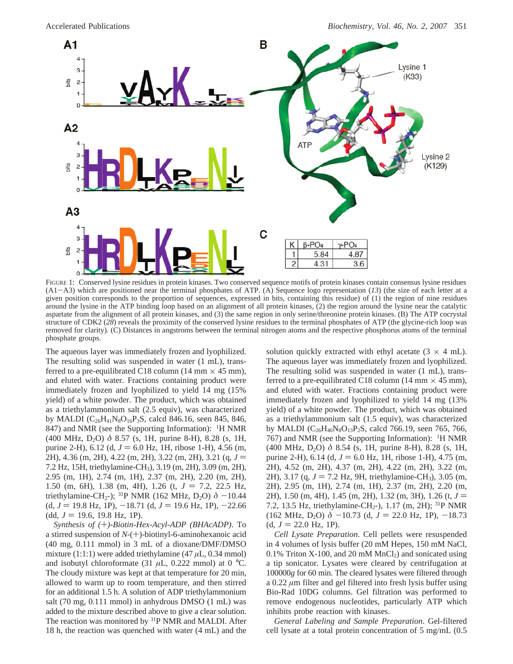

FIGURE 1: Conserved lysine residues in protein kinases. Two conserved sequence motifs of protein kinases contain consensus lysine residues (A1-A3) which are positioned near the terminal phosphates of ATP. (A) Sequence logo representation (*13*) (the size of each letter at a given position corresponds to the proportion of sequences, expressed in bits, containing this residue) of (1) the region of nine residues around the lysine in the ATP binding loop based on an alignment of all protein kinases, (2) the region around the lysine near the catalytic aspartate from the alignment of all protein kinases, and (3) the same region in only serine/threonine protein kinases. (B) The ATP cocrystal structure of CDK2 (*28*) reveals the proximity of the conserved lysine residues to the terminal phosphates of ATP (the glycine-rich loop was removed for clarity). (C) Distances in angstroms between the terminal nitrogen atoms and the respective phosphorus atoms of the terminal phosphate groups.

The aqueous layer was immediately frozen and lyophilized. The resulting solid was suspended in water (1 mL), transferred to a pre-equilibrated C18 column (14 mm  $\times$  45 mm), and eluted with water. Fractions containing product were immediately frozen and lyophilized to yield 14 mg (15% yield) of a white powder. The product, which was obtained as a triethylammonium salt (2.5 equiv), was characterized by MALDI ( $C_{26}H_{41}N_8O_{16}P_3S$ , calcd 846.16, seen 845, 846, 847) and NMR (see the Supporting Information): <sup>1</sup>H NMR (400 MHz, D2O) *δ* 8.57 (s, 1H, purine 8-H), 8.28 (s, 1H, purine 2-H),  $6.12$  (d,  $J = 6.0$  Hz, 1H, ribose 1-H), 4.56 (m, 2H), 4.36 (m, 2H), 4.22 (m, 2H), 3.22 (m, 2H), 3.21 (q, *<sup>J</sup>* ) 7.2 Hz, 15H, triethylamine-CH3), 3.19 (m, 2H), 3.09 (m, 2H), 2.95 (m, 1H), 2.74 (m, 1H), 2.37 (m, 2H), 2.20 (m, 2H), 1.50 (m, 6H), 1.38 (m, 4H), 1.26 (t,  $J = 7.2$ , 22.5 Hz, triethylamine-CH<sub>2</sub>-); <sup>31</sup>P NMR (162 MHz, D<sub>2</sub>O)  $\delta$  -10.44  $(d, J = 19.8 \text{ Hz}, 1P), -18.71 \ (d, J = 19.6 \text{ Hz}, 1P), -22.66$  $(dd, J = 19.6, 19.8 \text{ Hz}, 1P$ .

*Synthesis of (*+*)-Biotin-Hex-Acyl-ADP (BHAcADP)*. To a stirred suspension of *<sup>N</sup>*-(+)-biotinyl-6-aminohexanoic acid (40 mg, 0.111 mmol) in 3 mL of a dioxane/DMF/DMSO mixture (1:1:1) were added triethylamine (47  $\mu$ L, 0.34 mmol) and isobutyl chloroformate (31  $\mu$ L, 0.222 mmol) at 0 °C. The cloudy mixture was kept at that temperature for 20 min, allowed to warm up to room temperature, and then stirred for an additional 1.5 h. A solution of ADP triethylammonium salt (70 mg, 0.111 mmol) in anhydrous DMSO (1 mL) was added to the mixture described above to give a clear solution. The reaction was monitored by <sup>31</sup>P NMR and MALDI. After 18 h, the reaction was quenched with water (4 mL) and the

solution quickly extracted with ethyl acetate  $(3 \times 4 \text{ mL})$ . The aqueous layer was immediately frozen and lyophilized. The resulting solid was suspended in water (1 mL), transferred to a pre-equilibrated C18 column (14 mm  $\times$  45 mm), and eluted with water. Fractions containing product were immediately frozen and lyophilized to yield 14 mg (13% yield) of a white powder. The product, which was obtained as a triethylammonium salt (1.5 equiv), was characterized by MALDI ( $C_{26}H_{40}N_8O_{13}P_2S$ , calcd 766.19, seen 765, 766, 767) and NMR (see the Supporting Information):  $\mathrm{^{1}H}$  NMR (400 MHz, D2O) *δ* 8.54 (s, 1H, purine 8-H), 8.28 (s, 1H, purine 2-H),  $6.14$  (d,  $J = 6.0$  Hz, 1H, ribose 1-H), 4.75 (m, 2H), 4.52 (m, 2H), 4.37 (m, 2H), 4.22 (m, 2H), 3.22 (m, 2H), 3.17 (q,  $J = 7.2$  Hz, 9H, triethylamine-CH<sub>3</sub>), 3.05 (m, 2H), 2.95 (m, 1H), 2.74 (m, 1H), 2.37 (m, 2H), 2.20 (m, 2H), 1.50 (m, 4H), 1.45 (m, 2H), 1.32 (m, 3H), 1.26 (t, *<sup>J</sup>* ) 7.2, 13.5 Hz, triethylamine-CH<sub>2</sub>-), 1.17 (m, 2H); <sup>31</sup>P NMR (162 MHz, D<sub>2</sub>O)  $\delta$  -10.73 (d, J = 22.0 Hz, 1P), -18.73  $(d, J = 22.0 \text{ Hz}, 1P).$ 

*Cell Lysate Preparation*. Cell pellets were resuspended in 4 volumes of lysis buffer (20 mM Hepes, 150 mM NaCl, 0.1% Triton X-100, and 20 mM  $MnCl<sub>2</sub>$ ) and sonicated using a tip sonicator. Lysates were cleared by centrifugation at 100000*g* for 60 min. The cleared lysates were filtered through a 0.22 *µ*m filter and gel filtered into fresh lysis buffer using Bio-Rad 10DG columns. Gel filtration was performed to remove endogenous nucleotides, particularly ATP which inhibits probe reaction with kinases.

*General Labeling and Sample Preparation*. Gel-filtered cell lysate at a total protein concentration of 5 mg/mL (0.5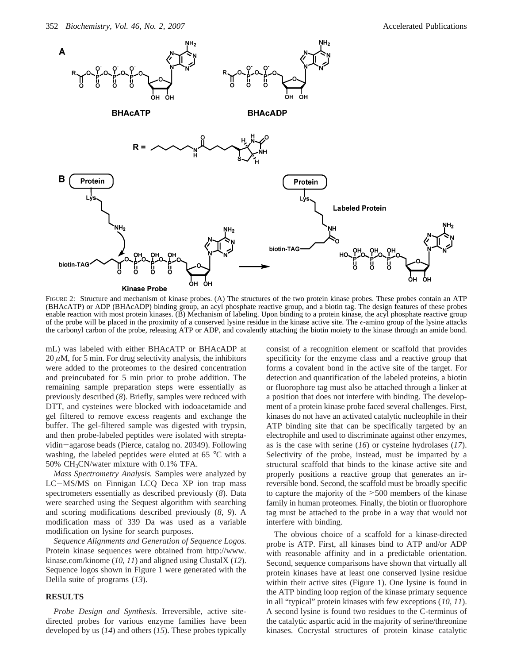

FIGURE 2: Structure and mechanism of kinase probes. (A) The structures of the two protein kinase probes. These probes contain an ATP (BHAcATP) or ADP (BHAcADP) binding group, an acyl phosphate reactive group, and a biotin tag. The design features of these probes enable reaction with most protein kinases. (B) Mechanism of labeling. Upon binding to a protein kinase, the acyl phosphate reactive group of the probe will be placed in the proximity of a conserved lysine residue in the kinase active site. The  $\epsilon$ -amino group of the lysine attacks the carbonyl carbon of the probe, releasing ATP or ADP, and covalently attaching the biotin moiety to the kinase through an amide bond.

mL) was labeled with either BHAcATP or BHAcADP at  $20 \mu$ M, for 5 min. For drug selectivity analysis, the inhibitors were added to the proteomes to the desired concentration and preincubated for 5 min prior to probe addition. The remaining sample preparation steps were essentially as previously described (*8*). Briefly, samples were reduced with DTT, and cysteines were blocked with iodoacetamide and gel filtered to remove excess reagents and exchange the buffer. The gel-filtered sample was digested with trypsin, and then probe-labeled peptides were isolated with streptavidin-agarose beads (Pierce, catalog no. 20349). Following washing, the labeled peptides were eluted at 65 °C with a 50% CH3CN/water mixture with 0.1% TFA.

*Mass Spectrometry Analysis.* Samples were analyzed by LC-MS/MS on Finnigan LCQ Deca XP ion trap mass spectrometers essentially as described previously (*8*). Data were searched using the Sequest algorithm with searching and scoring modifications described previously (*8*, *9*). A modification mass of 339 Da was used as a variable modification on lysine for search purposes.

*Sequence Alignments and Generation of Sequence Logos.* Protein kinase sequences were obtained from http://www. kinase.com/kinome (*10*, *11*) and aligned using ClustalX (*12*). Sequence logos shown in Figure 1 were generated with the Delila suite of programs (*13*).

### **RESULTS**

*Probe Design and Synthesis.* Irreversible, active sitedirected probes for various enzyme families have been developed by us (*14*) and others (*15*). These probes typically consist of a recognition element or scaffold that provides specificity for the enzyme class and a reactive group that forms a covalent bond in the active site of the target. For detection and quantification of the labeled proteins, a biotin or fluorophore tag must also be attached through a linker at a position that does not interfere with binding. The development of a protein kinase probe faced several challenges. First, kinases do not have an activated catalytic nucleophile in their ATP binding site that can be specifically targeted by an electrophile and used to discriminate against other enzymes, as is the case with serine (*16*) or cysteine hydrolases (*17*). Selectivity of the probe, instead, must be imparted by a structural scaffold that binds to the kinase active site and properly positions a reactive group that generates an irreversible bond. Second, the scaffold must be broadly specific to capture the majority of the >500 members of the kinase family in human proteomes. Finally, the biotin or fluorophore tag must be attached to the probe in a way that would not interfere with binding.

The obvious choice of a scaffold for a kinase-directed probe is ATP. First, all kinases bind to ATP and/or ADP with reasonable affinity and in a predictable orientation. Second, sequence comparisons have shown that virtually all protein kinases have at least one conserved lysine residue within their active sites (Figure 1). One lysine is found in the ATP binding loop region of the kinase primary sequence in all "typical" protein kinases with few exceptions (*10*, *11*). A second lysine is found two residues to the C-terminus of the catalytic aspartic acid in the majority of serine/threonine kinases. Cocrystal structures of protein kinase catalytic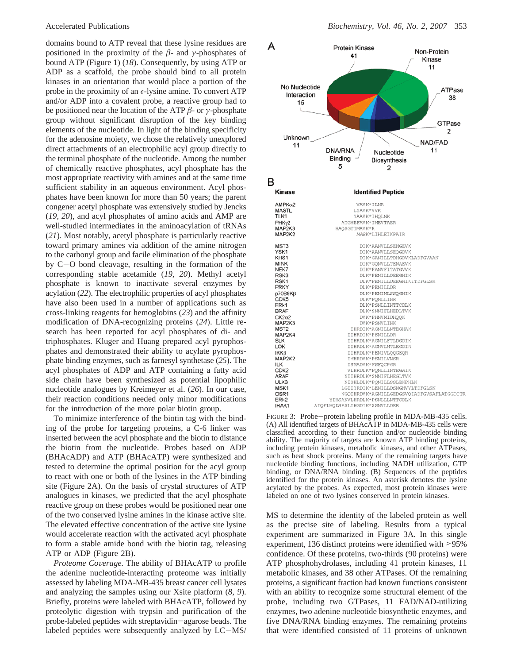domains bound to ATP reveal that these lysine residues are positioned in the proximity of the *â*- and *γ*-phosphates of bound ATP (Figure 1) (*18*). Consequently, by using ATP or ADP as a scaffold, the probe should bind to all protein kinases in an orientation that would place a portion of the probe in the proximity of an  $\epsilon$ -lysine amine. To convert ATP and/or ADP into a covalent probe, a reactive group had to be positioned near the location of the ATP *â*- or *γ*-phosphate group without significant disruption of the key binding elements of the nucleotide. In light of the binding specificity for the adenosine moiety, we chose the relatively unexplored direct attachments of an electrophilic acyl group directly to the terminal phosphate of the nucleotide. Among the number of chemically reactive phosphates, acyl phosphate has the most appropriate reactivity with amines and at the same time sufficient stability in an aqueous environment. Acyl phosphates have been known for more than 50 years; the parent congener acetyl phosphate was extensively studied by Jencks (*19*, *20*), and acyl phosphates of amino acids and AMP are well-studied intermediates in the aminoacylation of tRNAs (*21*). Most notably, acetyl phosphate is particularly reactive toward primary amines via addition of the amine nitrogen to the carbonyl group and facile elimination of the phosphate by C-O bond cleavage, resulting in the formation of the corresponding stable acetamide (*19*, *20*). Methyl acetyl phosphate is known to inactivate several enzymes by acylation (*22*). The electrophilic properties of acyl phosphates have also been used in a number of applications such as cross-linking reagents for hemoglobins (*23*) and the affinity modification of DNA-recognizing proteins (*24*). Little research has been reported for acyl phosphates of di- and triphosphates. Kluger and Huang prepared acyl pyrophosphates and demonstrated their ability to acylate pyrophosphate binding enzymes, such as farnesyl synthetase (*25*). The acyl phosphates of ADP and ATP containing a fatty acid side chain have been synthesized as potential lipophilic nucleotide analogues by Kreimeyer et al. (*26*). In our case, their reaction conditions needed only minor modifications for the introduction of the more polar biotin group.

To minimize interference of the biotin tag with the binding of the probe for targeting proteins, a C-6 linker was inserted between the acyl phosphate and the biotin to distance the biotin from the nucleotide. Probes based on ADP (BHAcADP) and ATP (BHAcATP) were synthesized and tested to determine the optimal position for the acyl group to react with one or both of the lysines in the ATP binding site (Figure 2A). On the basis of crystal structures of ATP analogues in kinases, we predicted that the acyl phosphate reactive group on these probes would be positioned near one of the two conserved lysine amines in the kinase active site. The elevated effective concentration of the active site lysine would accelerate reaction with the activated acyl phosphate to form a stable amide bond with the biotin tag, releasing ATP or ADP (Figure 2B).

*Proteome Co*V*erage.* The ability of BHAcATP to profile the adenine nucleotide-interacting proteome was initially assessed by labeling MDA-MB-435 breast cancer cell lysates and analyzing the samples using our Xsite platform (*8*, *9*). Briefly, proteins were labeled with BHAcATP, followed by proteolytic digestion with trypsin and purification of the probe-labeled peptides with streptavidin-agarose beads. The labeled peptides were subsequently analyzed by LC-MS/



FIGURE 3: Probe-protein labeling profile in MDA-MB-435 cells. (A) All identified targets of BHAcATP in MDA-MB-435 cells were classified according to their function and/or nucleotide binding ability. The majority of targets are known ATP binding proteins, including protein kinases, metabolic kinases, and other ATPases, such as heat shock proteins. Many of the remaining targets have nucleotide binding functions, including NADH utilization, GTP binding, or DNA/RNA binding. (B) Sequences of the peptides identified for the protein kinases. An asterisk denotes the lysine acylated by the probes. As expected, most protein kinases were labeled on one of two lysines conserved in protein kinases.

MS to determine the identity of the labeled protein as well as the precise site of labeling. Results from a typical experiment are summarized in Figure 3A. In this single experiment, 136 distinct proteins were identified with >95% confidence. Of these proteins, two-thirds (90 proteins) were ATP phosphohydrolases, including 41 protein kinases, 11 metabolic kinases, and 38 other ATPases. Of the remaining proteins, a significant fraction had known functions consistent with an ability to recognize some structural element of the probe, including two GTPases, 11 FAD/NAD-utilizing enzymes, two adenine nucleotide biosynthetic enzymes, and five DNA/RNA binding enzymes. The remaining proteins that were identified consisted of 11 proteins of unknown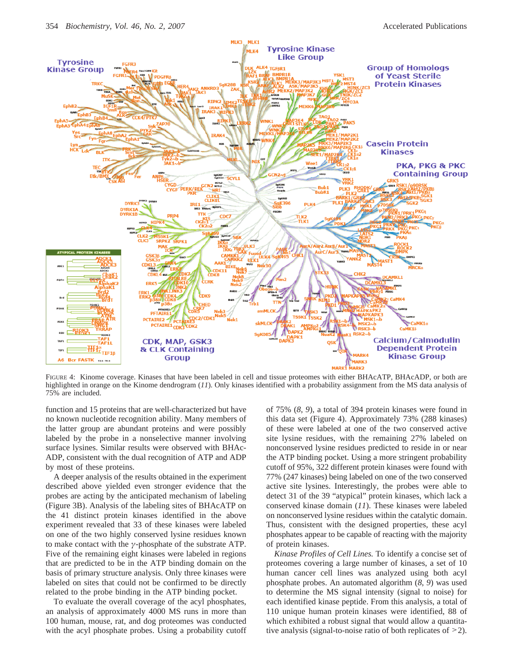

FIGURE 4: Kinome coverage. Kinases that have been labeled in cell and tissue proteomes with either BHAcATP, BHAcADP, or both are highlighted in orange on the Kinome dendrogram (*11*). Only kinases identified with a probability assignment from the MS data analysis of 75% are included.

function and 15 proteins that are well-characterized but have no known nucleotide recognition ability. Many members of the latter group are abundant proteins and were possibly labeled by the probe in a nonselective manner involving surface lysines. Similar results were observed with BHAc-ADP, consistent with the dual recognition of ATP and ADP by most of these proteins.

A deeper analysis of the results obtained in the experiment described above yielded even stronger evidence that the probes are acting by the anticipated mechanism of labeling (Figure 3B). Analysis of the labeling sites of BHAcATP on the 41 distinct protein kinases identified in the above experiment revealed that 33 of these kinases were labeled on one of the two highly conserved lysine residues known to make contact with the *γ*-phosphate of the substrate ATP. Five of the remaining eight kinases were labeled in regions that are predicted to be in the ATP binding domain on the basis of primary structure analysis. Only three kinases were labeled on sites that could not be confirmed to be directly related to the probe binding in the ATP binding pocket.

To evaluate the overall coverage of the acyl phosphates, an analysis of approximately 4000 MS runs in more than 100 human, mouse, rat, and dog proteomes was conducted with the acyl phosphate probes. Using a probability cutoff

of 75% (*8*, *9*), a total of 394 protein kinases were found in this data set (Figure 4). Approximately 73% (288 kinases) of these were labeled at one of the two conserved active site lysine residues, with the remaining 27% labeled on nonconserved lysine residues predicted to reside in or near the ATP binding pocket. Using a more stringent probability cutoff of 95%, 322 different protein kinases were found with 77% (247 kinases) being labeled on one of the two conserved active site lysines. Interestingly, the probes were able to detect 31 of the 39 "atypical" protein kinases, which lack a conserved kinase domain (*11*). These kinases were labeled on nonconserved lysine residues within the catalytic domain. Thus, consistent with the designed properties, these acyl phosphates appear to be capable of reacting with the majority of protein kinases.

*Kinase Profiles of Cell Lines.* To identify a concise set of proteomes covering a large number of kinases, a set of 10 human cancer cell lines was analyzed using both acyl phosphate probes. An automated algorithm (*8*, *9*) was used to determine the MS signal intensity (signal to noise) for each identified kinase peptide. From this analysis, a total of 110 unique human protein kinases were identified, 88 of which exhibited a robust signal that would allow a quantitative analysis (signal-to-noise ratio of both replicates of >2).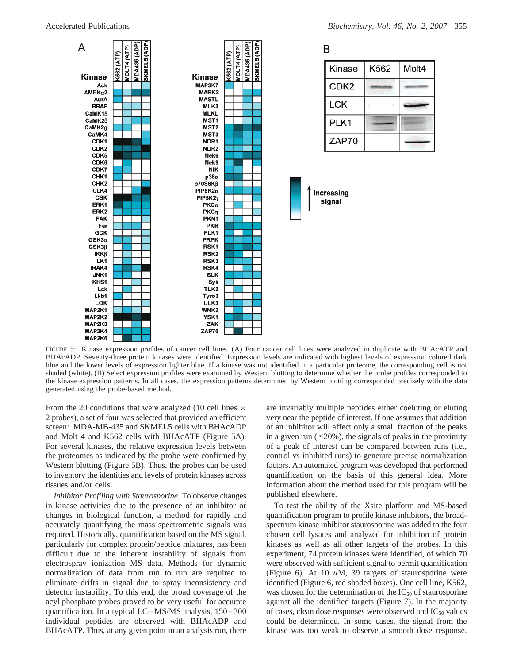Molt4



FIGURE 5: Kinase expression profiles of cancer cell lines. (A) Four cancer cell lines were analyzed in duplicate with BHAcATP and BHAcADP. Seventy-three protein kinases were identified. Expression levels are indicated with highest levels of expression colored dark blue and the lower levels of expression lighter blue. If a kinase was not identified in a particular proteome, the corresponding cell is not shaded (white). (B) Select expression profiles were examined by Western blotting to determine whether the probe profiles corresponded to the kinase expression patterns. In all cases, the expression patterns determined by Western blotting corresponded precisely with the data generated using the probe-based method.

From the 20 conditions that were analyzed (10 cell lines  $\times$ 2 probes), a set of four was selected that provided an efficient screen: MDA-MB-435 and SKMEL5 cells with BHAcADP and Molt 4 and K562 cells with BHAcATP (Figure 5A). For several kinases, the relative expression levels between the proteomes as indicated by the probe were confirmed by Western blotting (Figure 5B). Thus, the probes can be used to inventory the identities and levels of protein kinases across tissues and/or cells.

*Inhibitor Profiling with Staurosporine.* To observe changes in kinase activities due to the presence of an inhibitor or changes in biological function, a method for rapidly and accurately quantifying the mass spectrometric signals was required. Historically, quantification based on the MS signal, particularly for complex protein/peptide mixtures, has been difficult due to the inherent instability of signals from electrospray ionization MS data. Methods for dynamic normalization of data from run to run are required to eliminate drifts in signal due to spray inconsistency and detector instability. To this end, the broad coverage of the acyl phosphate probes proved to be very useful for accurate quantification. In a typical LC-MS/MS analysis, 150-<sup>300</sup> individual peptides are observed with BHAcADP and BHAcATP. Thus, at any given point in an analysis run, there

are invariably multiple peptides either coeluting or eluting very near the peptide of interest. If one assumes that addition of an inhibitor will affect only a small fraction of the peaks in a given run  $(\leq 20\%)$ , the signals of peaks in the proximity of a peak of interest can be compared between runs (i.e., control vs inhibited runs) to generate precise normalization factors. An automated program was developed that performed quantification on the basis of this general idea. More information about the method used for this program will be published elsewhere.

To test the ability of the Xsite platform and MS-based quantification program to profile kinase inhibitors, the broadspectrum kinase inhibitor staurosporine was added to the four chosen cell lysates and analyzed for inhibition of protein kinases as well as all other targets of the probes. In this experiment, 74 protein kinases were identified, of which 70 were observed with sufficient signal to permit quantification (Figure 6). At 10  $\mu$ M, 39 targets of staurosporine were identified (Figure 6, red shaded boxes). One cell line, K562, was chosen for the determination of the  $IC_{50}$  of staurosporine against all the identified targets (Figure 7). In the majority of cases, clean dose responses were observed and  $IC_{50}$  values could be determined. In some cases, the signal from the kinase was too weak to observe a smooth dose response.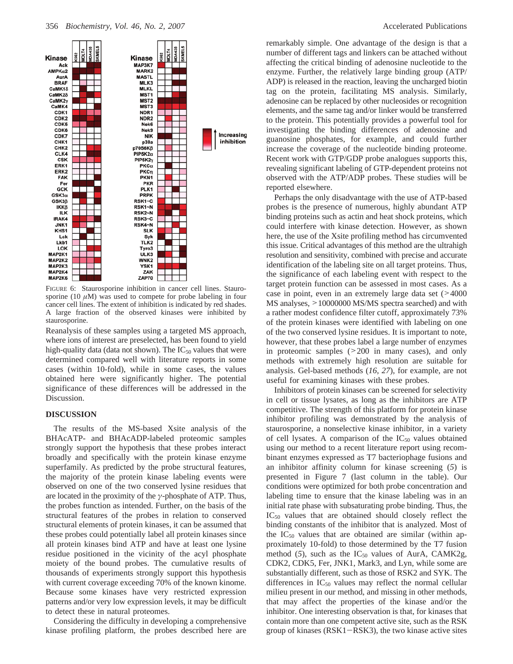

FIGURE 6: Staurosporine inhibition in cancer cell lines. Staurosporine (10  $\mu$ M) was used to compete for probe labeling in four cancer cell lines. The extent of inhibition is indicated by red shades. A large fraction of the observed kinases were inhibited by staurosporine.

Reanalysis of these samples using a targeted MS approach, where ions of interest are preselected, has been found to yield high-quality data (data not shown). The  $IC_{50}$  values that were determined compared well with literature reports in some cases (within 10-fold), while in some cases, the values obtained here were significantly higher. The potential significance of these differences will be addressed in the Discussion.

## **DISCUSSION**

The results of the MS-based Xsite analysis of the BHAcATP- and BHAcADP-labeled proteomic samples strongly support the hypothesis that these probes interact broadly and specifically with the protein kinase enzyme superfamily. As predicted by the probe structural features, the majority of the protein kinase labeling events were observed on one of the two conserved lysine residues that are located in the proximity of the *γ*-phosphate of ATP. Thus, the probes function as intended. Further, on the basis of the structural features of the probes in relation to conserved structural elements of protein kinases, it can be assumed that these probes could potentially label all protein kinases since all protein kinases bind ATP and have at least one lysine residue positioned in the vicinity of the acyl phosphate moiety of the bound probes. The cumulative results of thousands of experiments strongly support this hypothesis with current coverage exceeding 70% of the known kinome. Because some kinases have very restricted expression patterns and/or very low expression levels, it may be difficult to detect these in natural proteomes.

Considering the difficulty in developing a comprehensive kinase profiling platform, the probes described here are

remarkably simple. One advantage of the design is that a number of different tags and linkers can be attached without affecting the critical binding of adenosine nucleotide to the enzyme. Further, the relatively large binding group (ATP/ ADP) is released in the reaction, leaving the uncharged biotin tag on the protein, facilitating MS analysis. Similarly, adenosine can be replaced by other nucleosides or recognition elements, and the same tag and/or linker would be transferred to the protein. This potentially provides a powerful tool for investigating the binding differences of adenosine and guanosine phosphates, for example, and could further increase the coverage of the nucleotide binding proteome. Recent work with GTP/GDP probe analogues supports this, revealing significant labeling of GTP-dependent proteins not observed with the ATP/ADP probes. These studies will be reported elsewhere.

Perhaps the only disadvantage with the use of ATP-based probes is the presence of numerous, highly abundant ATP binding proteins such as actin and heat shock proteins, which could interfere with kinase detection. However, as shown here, the use of the Xsite profiling method has circumvented this issue. Critical advantages of this method are the ultrahigh resolution and sensitivity, combined with precise and accurate identification of the labeling site on all target proteins. Thus, the significance of each labeling event with respect to the target protein function can be assessed in most cases. As a case in point, even in an extremely large data set  $($ >4000 MS analyses,  $>10000000$  MS/MS spectra searched) and with a rather modest confidence filter cutoff, approximately 73% of the protein kinases were identified with labeling on one of the two conserved lysine residues. It is important to note, however, that these probes label a large number of enzymes in proteomic samples (>200 in many cases), and only methods with extremely high resolution are suitable for analysis. Gel-based methods (*16*, *27*), for example, are not useful for examining kinases with these probes.

Inhibitors of protein kinases can be screened for selectivity in cell or tissue lysates, as long as the inhibitors are ATP competitive. The strength of this platform for protein kinase inhibitor profiling was demonstrated by the analysis of staurosporine, a nonselective kinase inhibitor, in a variety of cell lysates. A comparison of the  $IC_{50}$  values obtained using our method to a recent literature report using recombinant enzymes expressed as T7 bacteriophage fusions and an inhibitor affinity column for kinase screening (*5*) is presented in Figure 7 (last column in the table). Our conditions were optimized for both probe concentration and labeling time to ensure that the kinase labeling was in an initial rate phase with subsaturating probe binding. Thus, the IC50 values that are obtained should closely reflect the binding constants of the inhibitor that is analyzed. Most of the  $IC_{50}$  values that are obtained are similar (within approximately 10-fold) to those determined by the T7 fusion method  $(5)$ , such as the  $IC_{50}$  values of AurA, CAMK2g, CDK2, CDK5, Fer, JNK1, Mark3, and Lyn, while some are substantially different, such as those of RSK2 and SYK. The differences in  $IC_{50}$  values may reflect the normal cellular milieu present in our method, and missing in other methods, that may affect the properties of the kinase and/or the inhibitor. One interesting observation is that, for kinases that contain more than one competent active site, such as the RSK group of kinases (RSK1-RSK3), the two kinase active sites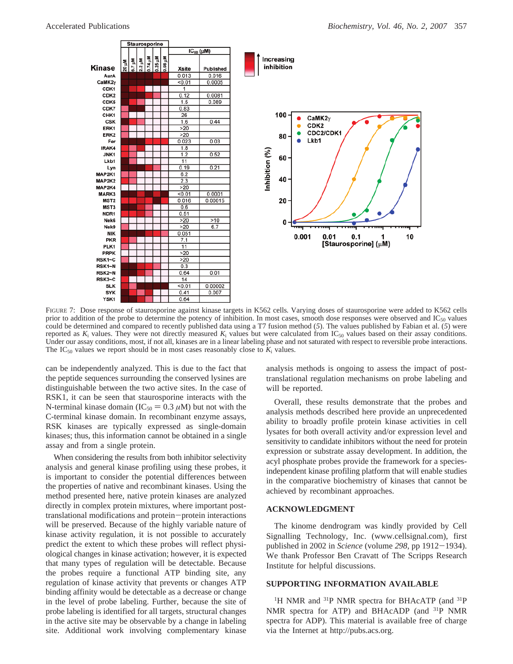

FIGURE 7: Dose response of staurosporine against kinase targets in K562 cells*.* Varying doses of staurosporine were added to K562 cells prior to addition of the probe to determine the potency of inhibition. In most cases, smooth dose responses were observed and  $IC_{50}$  values could be determined and compared to recently published data using a T7 fusion method (*5*). The values published by Fabian et al. (*5*) were reported as  $K_i$  values. They were not directly measured  $K_i$  values but were calculated from IC<sub>50</sub> values based on their assay conditions. Under our assay conditions, most, if not all, kinases are in a linear labeling phase and not saturated with respect to reversible probe interactions. The IC<sub>50</sub> values we report should be in most cases reasonably close to  $K_i$  values.

can be independently analyzed. This is due to the fact that the peptide sequences surrounding the conserved lysines are distinguishable between the two active sites. In the case of RSK1, it can be seen that staurosporine interacts with the N-terminal kinase domain ( $IC_{50} = 0.3 \mu M$ ) but not with the C-terminal kinase domain. In recombinant enzyme assays, RSK kinases are typically expressed as single-domain kinases; thus, this information cannot be obtained in a single assay and from a single protein.

When considering the results from both inhibitor selectivity analysis and general kinase profiling using these probes, it is important to consider the potential differences between the properties of native and recombinant kinases. Using the method presented here, native protein kinases are analyzed directly in complex protein mixtures, where important posttranslational modifications and protein-protein interactions will be preserved. Because of the highly variable nature of kinase activity regulation, it is not possible to accurately predict the extent to which these probes will reflect physiological changes in kinase activation; however, it is expected that many types of regulation will be detectable. Because the probes require a functional ATP binding site, any regulation of kinase activity that prevents or changes ATP binding affinity would be detectable as a decrease or change in the level of probe labeling. Further, because the site of probe labeling is identified for all targets, structural changes in the active site may be observable by a change in labeling site. Additional work involving complementary kinase

analysis methods is ongoing to assess the impact of posttranslational regulation mechanisms on probe labeling and will be reported.

Overall, these results demonstrate that the probes and analysis methods described here provide an unprecedented ability to broadly profile protein kinase activities in cell lysates for both overall activity and/or expression level and sensitivity to candidate inhibitors without the need for protein expression or substrate assay development. In addition, the acyl phosphate probes provide the framework for a speciesindependent kinase profiling platform that will enable studies in the comparative biochemistry of kinases that cannot be achieved by recombinant approaches.

### **ACKNOWLEDGMENT**

The kinome dendrogram was kindly provided by Cell Signalling Technology, Inc. (www.cellsignal.com), first published in 2002 in *Science* (volume *<sup>298</sup>*, pp 1912-1934). We thank Professor Ben Cravatt of The Scripps Research Institute for helpful discussions.

#### **SUPPORTING INFORMATION AVAILABLE**

<sup>1</sup>H NMR and <sup>31</sup>P NMR spectra for BHAcATP (and <sup>31</sup>P NMR spectra for ATP) and BHAcADP (and <sup>31</sup>P NMR spectra for ADP). This material is available free of charge via the Internet at http://pubs.acs.org.